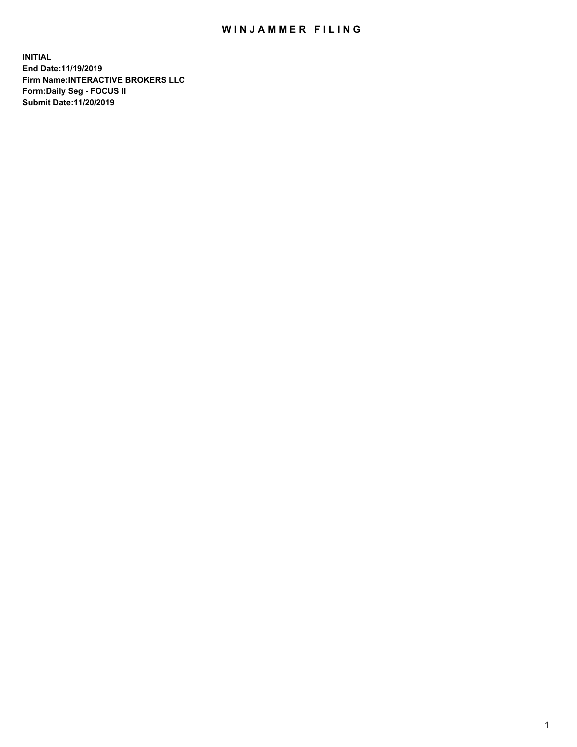## WIN JAMMER FILING

**INITIAL End Date:11/19/2019 Firm Name:INTERACTIVE BROKERS LLC Form:Daily Seg - FOCUS II Submit Date:11/20/2019**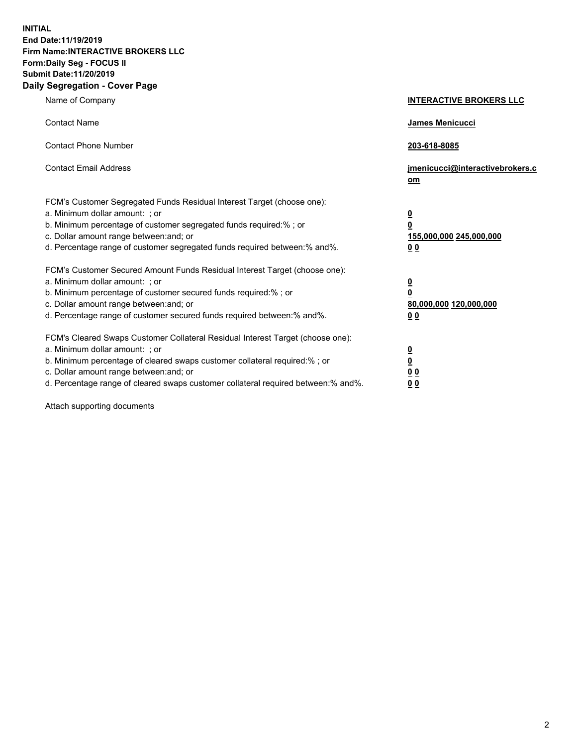**INITIAL End Date:11/19/2019 Firm Name:INTERACTIVE BROKERS LLC Form:Daily Seg - FOCUS II Submit Date:11/20/2019 Daily Segregation - Cover Page**

| Name of Company                                                                                                                                                                                                                                                                                                                | <b>INTERACTIVE BROKERS LLC</b>                                                                  |
|--------------------------------------------------------------------------------------------------------------------------------------------------------------------------------------------------------------------------------------------------------------------------------------------------------------------------------|-------------------------------------------------------------------------------------------------|
| <b>Contact Name</b>                                                                                                                                                                                                                                                                                                            | James Menicucci                                                                                 |
| <b>Contact Phone Number</b>                                                                                                                                                                                                                                                                                                    | 203-618-8085                                                                                    |
| <b>Contact Email Address</b>                                                                                                                                                                                                                                                                                                   | jmenicucci@interactivebrokers.c<br>om                                                           |
| FCM's Customer Segregated Funds Residual Interest Target (choose one):<br>a. Minimum dollar amount: ; or<br>b. Minimum percentage of customer segregated funds required:%; or<br>c. Dollar amount range between: and; or<br>d. Percentage range of customer segregated funds required between:% and%.                          | $\overline{\mathbf{0}}$<br>$\overline{\mathbf{0}}$<br>155,000,000 245,000,000<br>0 <sub>0</sub> |
| FCM's Customer Secured Amount Funds Residual Interest Target (choose one):<br>a. Minimum dollar amount: ; or<br>b. Minimum percentage of customer secured funds required:% ; or<br>c. Dollar amount range between: and; or<br>d. Percentage range of customer secured funds required between:% and%.                           | $\overline{\mathbf{0}}$<br>$\overline{\mathbf{0}}$<br>80,000,000 120,000,000<br>0 <sub>0</sub>  |
| FCM's Cleared Swaps Customer Collateral Residual Interest Target (choose one):<br>a. Minimum dollar amount: ; or<br>b. Minimum percentage of cleared swaps customer collateral required:% ; or<br>c. Dollar amount range between: and; or<br>d. Percentage range of cleared swaps customer collateral required between:% and%. | $\overline{\mathbf{0}}$<br>$\underline{\mathbf{0}}$<br>0 <sub>0</sub><br>0 <sub>0</sub>         |

Attach supporting documents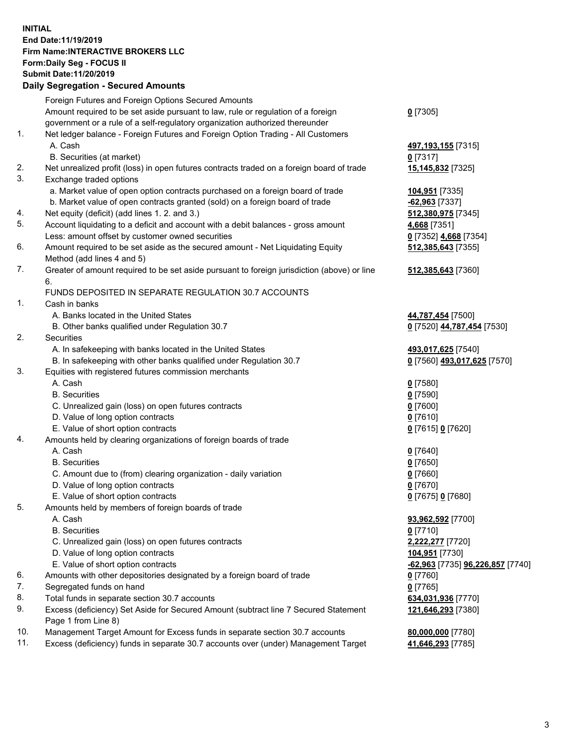## **INITIAL End Date:11/19/2019 Firm Name:INTERACTIVE BROKERS LLC Form:Daily Seg - FOCUS II Submit Date:11/20/2019 Daily Segregation - Secured Amounts**

|                | Dany Segregation - Secured Announts                                                                        |                                                |
|----------------|------------------------------------------------------------------------------------------------------------|------------------------------------------------|
|                | Foreign Futures and Foreign Options Secured Amounts                                                        |                                                |
|                | Amount required to be set aside pursuant to law, rule or regulation of a foreign                           | $0$ [7305]                                     |
|                | government or a rule of a self-regulatory organization authorized thereunder                               |                                                |
| $\mathbf{1}$ . | Net ledger balance - Foreign Futures and Foreign Option Trading - All Customers                            |                                                |
|                | A. Cash                                                                                                    | 497,193,155 [7315]                             |
|                | B. Securities (at market)                                                                                  | $0$ [7317]                                     |
| 2.             | Net unrealized profit (loss) in open futures contracts traded on a foreign board of trade                  | 15,145,832 [7325]                              |
| 3.             | Exchange traded options                                                                                    |                                                |
|                | a. Market value of open option contracts purchased on a foreign board of trade                             | 104,951 [7335]                                 |
|                | b. Market value of open contracts granted (sold) on a foreign board of trade                               | -62,963 [7337]                                 |
| 4.             | Net equity (deficit) (add lines 1. 2. and 3.)                                                              | 512,380,975 [7345]                             |
| 5.             | Account liquidating to a deficit and account with a debit balances - gross amount                          | 4,668 [7351]                                   |
|                | Less: amount offset by customer owned securities                                                           | 0 [7352] 4,668 [7354]                          |
| 6.             | Amount required to be set aside as the secured amount - Net Liquidating Equity                             | 512,385,643 [7355]                             |
| 7.             | Method (add lines 4 and 5)                                                                                 |                                                |
|                | Greater of amount required to be set aside pursuant to foreign jurisdiction (above) or line<br>6.          | 512,385,643 [7360]                             |
|                | FUNDS DEPOSITED IN SEPARATE REGULATION 30.7 ACCOUNTS                                                       |                                                |
| 1.             | Cash in banks                                                                                              |                                                |
|                | A. Banks located in the United States                                                                      | 44,787,454 [7500]                              |
|                | B. Other banks qualified under Regulation 30.7                                                             | 0 [7520] 44,787,454 [7530]                     |
| 2.             | <b>Securities</b>                                                                                          |                                                |
|                | A. In safekeeping with banks located in the United States                                                  | 493,017,625 [7540]                             |
|                | B. In safekeeping with other banks qualified under Regulation 30.7                                         | 0 [7560] 493,017,625 [7570]                    |
| 3.             | Equities with registered futures commission merchants                                                      |                                                |
|                | A. Cash                                                                                                    | $0$ [7580]                                     |
|                | <b>B.</b> Securities                                                                                       | $0$ [7590]                                     |
|                | C. Unrealized gain (loss) on open futures contracts                                                        | $0$ [7600]                                     |
|                | D. Value of long option contracts                                                                          | $0$ [7610]                                     |
|                | E. Value of short option contracts                                                                         | 0 [7615] 0 [7620]                              |
| 4.             | Amounts held by clearing organizations of foreign boards of trade                                          |                                                |
|                | A. Cash                                                                                                    | $0$ [7640]                                     |
|                | <b>B.</b> Securities                                                                                       | $0$ [7650]                                     |
|                | C. Amount due to (from) clearing organization - daily variation                                            | $0$ [7660]                                     |
|                | D. Value of long option contracts                                                                          | $0$ [7670]                                     |
|                | E. Value of short option contracts                                                                         | 0 [7675] 0 [7680]                              |
| 5.             | Amounts held by members of foreign boards of trade                                                         |                                                |
|                | A. Cash                                                                                                    | 93,962,592 [7700]                              |
|                | <b>B.</b> Securities                                                                                       | $0$ [7710]                                     |
|                | C. Unrealized gain (loss) on open futures contracts                                                        | 2,222,277 [7720]                               |
|                | D. Value of long option contracts                                                                          | 104,951 [7730]                                 |
|                | E. Value of short option contracts                                                                         | <u>-62,963</u> [7735] <u>96,226,857</u> [7740] |
| 6.<br>7.       | Amounts with other depositories designated by a foreign board of trade                                     | 0 [7760]                                       |
| 8.             | Segregated funds on hand                                                                                   | $0$ [7765]                                     |
| 9.             | Total funds in separate section 30.7 accounts                                                              | 634,031,936 [7770]                             |
|                | Excess (deficiency) Set Aside for Secured Amount (subtract line 7 Secured Statement<br>Page 1 from Line 8) | 121,646,293 [7380]                             |
| 10.            | Management Target Amount for Excess funds in separate section 30.7 accounts                                | 80,000,000 [7780]                              |
| 11.            | Excess (deficiency) funds in separate 30.7 accounts over (under) Management Target                         | 41,646,293 [7785]                              |
|                |                                                                                                            |                                                |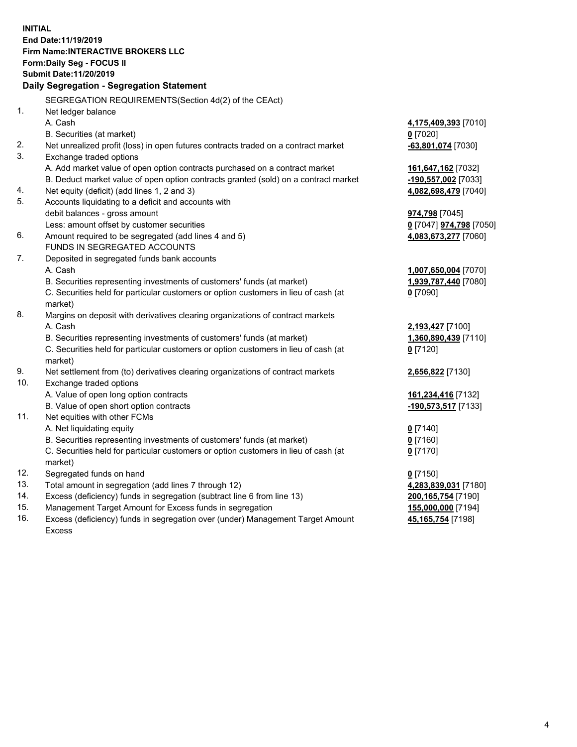**INITIAL End Date:11/19/2019 Firm Name:INTERACTIVE BROKERS LLC Form:Daily Seg - FOCUS II Submit Date:11/20/2019 Daily Segregation - Segregation Statement** SEGREGATION REQUIREMENTS(Section 4d(2) of the CEAct) 1. Net ledger balance A. Cash **4,175,409,393** [7010] B. Securities (at market) **0** [7020] 2. Net unrealized profit (loss) in open futures contracts traded on a contract market **-63,801,074** [7030] 3. Exchange traded options A. Add market value of open option contracts purchased on a contract market **161,647,162** [7032] B. Deduct market value of open option contracts granted (sold) on a contract market **-190,557,002** [7033] 4. Net equity (deficit) (add lines 1, 2 and 3) **4,082,698,479** [7040] 5. Accounts liquidating to a deficit and accounts with debit balances - gross amount **974,798** [7045] Less: amount offset by customer securities **0** [7047] **974,798** [7050] 6. Amount required to be segregated (add lines 4 and 5) **4,083,673,277** [7060] FUNDS IN SEGREGATED ACCOUNTS 7. Deposited in segregated funds bank accounts A. Cash **1,007,650,004** [7070] B. Securities representing investments of customers' funds (at market) **1,939,787,440** [7080] C. Securities held for particular customers or option customers in lieu of cash (at market) **0** [7090] 8. Margins on deposit with derivatives clearing organizations of contract markets A. Cash **2,193,427** [7100] B. Securities representing investments of customers' funds (at market) **1,360,890,439** [7110] C. Securities held for particular customers or option customers in lieu of cash (at market) **0** [7120] 9. Net settlement from (to) derivatives clearing organizations of contract markets **2,656,822** [7130] 10. Exchange traded options A. Value of open long option contracts **161,234,416** [7132] B. Value of open short option contracts **-190,573,517** [7133] 11. Net equities with other FCMs A. Net liquidating equity **0** [7140] B. Securities representing investments of customers' funds (at market) **0** [7160] C. Securities held for particular customers or option customers in lieu of cash (at market) **0** [7170] 12. Segregated funds on hand **0** [7150] 13. Total amount in segregation (add lines 7 through 12) **4,283,839,031** [7180] 14. Excess (deficiency) funds in segregation (subtract line 6 from line 13) **200,165,754** [7190] 15. Management Target Amount for Excess funds in segregation **155,000,000** [7194] **45,165,754** [7198]

16. Excess (deficiency) funds in segregation over (under) Management Target Amount Excess